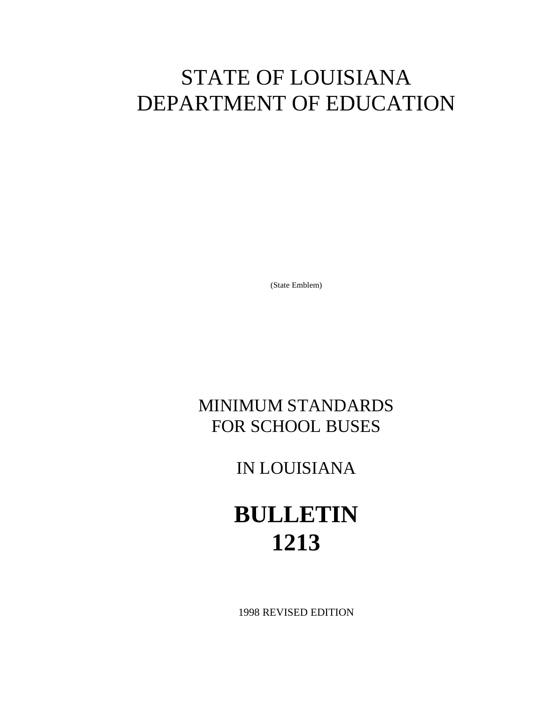## STATE OF LOUISIANA DEPARTMENT OF EDUCATION

(State Emblem)

## MINIMUM STANDARDS FOR SCHOOL BUSES

IN LOUISIANA

## **BULLETIN 1213**

1998 REVISED EDITION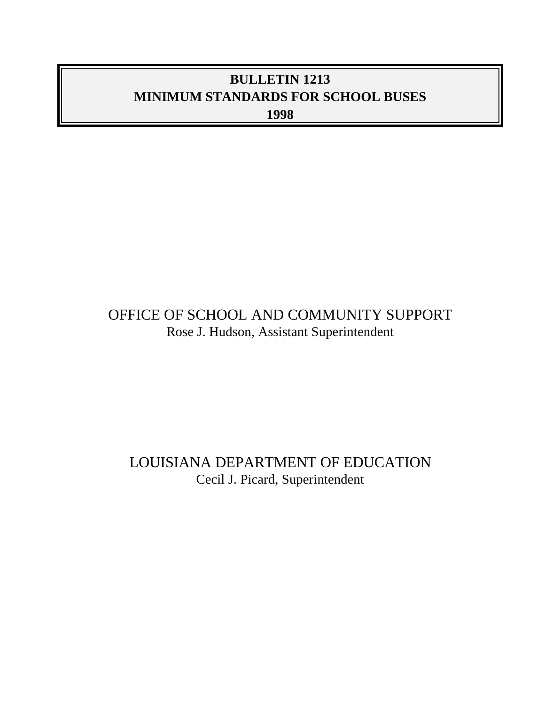## **BULLETIN 1213 MINIMUM STANDARDS FOR SCHOOL BUSES 1998**

## OFFICE OF SCHOOL AND COMMUNITY SUPPORT Rose J. Hudson, Assistant Superintendent

## LOUISIANA DEPARTMENT OF EDUCATION Cecil J. Picard, Superintendent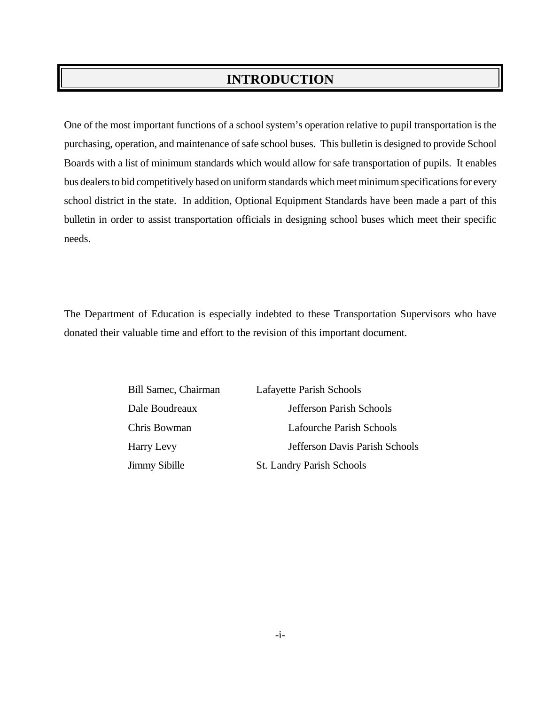### **INTRODUCTION**

One of the most important functions of a school system's operation relative to pupil transportation is the purchasing, operation, and maintenance of safe school buses. This bulletin is designed to provide School Boards with a list of minimum standards which would allow for safe transportation of pupils. It enables bus dealers to bid competitively based on uniform standards which meet minimum specifications for every school district in the state. In addition, Optional Equipment Standards have been made a part of this bulletin in order to assist transportation officials in designing school buses which meet their specific needs.

The Department of Education is especially indebted to these Transportation Supervisors who have donated their valuable time and effort to the revision of this important document.

| Bill Samec, Chairman | Lafayette Parish Schools       |
|----------------------|--------------------------------|
| Dale Boudreaux       | Jefferson Parish Schools       |
| Chris Bowman         | Lafourche Parish Schools       |
| Harry Levy           | Jefferson Davis Parish Schools |
| <b>Jimmy Sibille</b> | St. Landry Parish Schools      |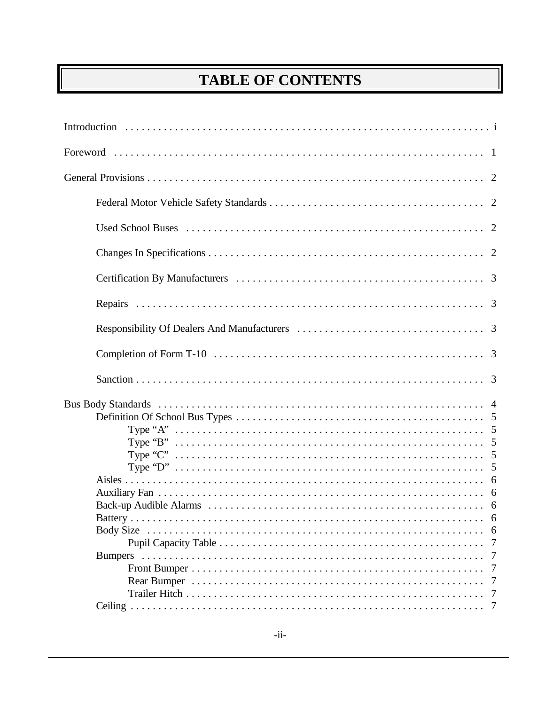## **TABLE OF CONTENTS**

| Battery | -7<br>7<br>7<br>7<br>7 |
|---------|------------------------|
|         | 7                      |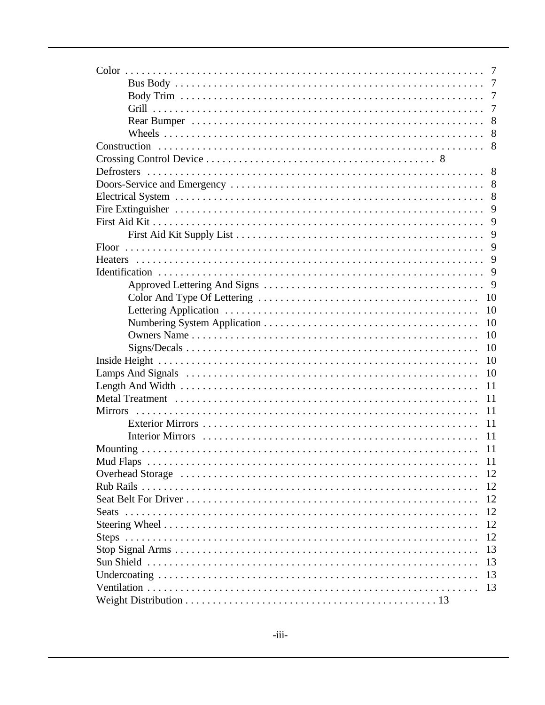| 9                    |
|----------------------|
|                      |
| 9                    |
| 9                    |
| 9                    |
|                      |
| 9                    |
| -10                  |
| 10                   |
| 10                   |
| 10                   |
| 10                   |
| 10                   |
| 10                   |
| 11                   |
| 11                   |
| 11<br><b>Mirrors</b> |
| 11                   |
| 11                   |
|                      |
|                      |
| 12                   |
| 12                   |
| 12                   |
| 12                   |
| 12                   |
| 12                   |
| 13                   |
| 13                   |
| 13                   |
| 13                   |
|                      |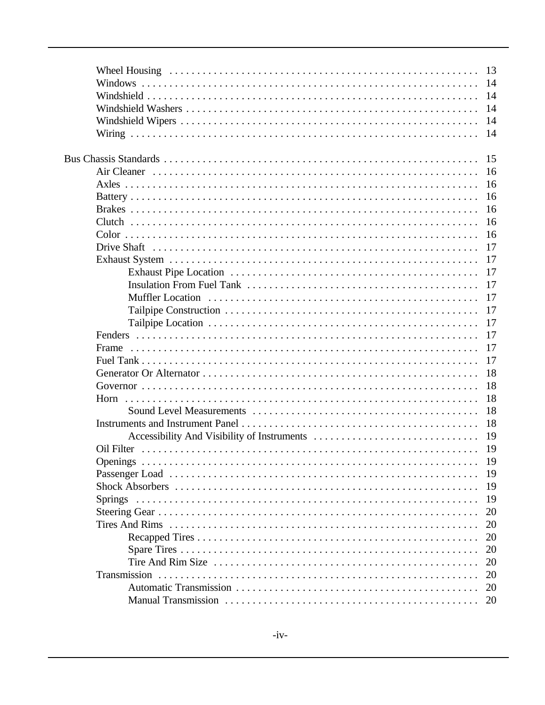|            | 13 |
|------------|----|
|            | 14 |
|            | 14 |
|            | 14 |
|            | 14 |
|            | 14 |
|            |    |
|            | 15 |
|            | 16 |
|            | 16 |
|            | 16 |
|            | 16 |
|            | 16 |
|            | 16 |
|            | 17 |
|            | 17 |
|            | 17 |
|            | 17 |
|            | 17 |
|            | 17 |
|            | 17 |
|            | 17 |
| Frame      | 17 |
|            | 17 |
|            | 18 |
|            | 18 |
|            | 18 |
|            | 18 |
|            | 18 |
|            | 19 |
| Oil Filter | 19 |
|            | 19 |
|            | 19 |
|            | 19 |
|            | 19 |
|            | 20 |
|            | 20 |
|            | 20 |
|            | 20 |
|            | 20 |
|            | 20 |
|            | 20 |
|            | 20 |
|            |    |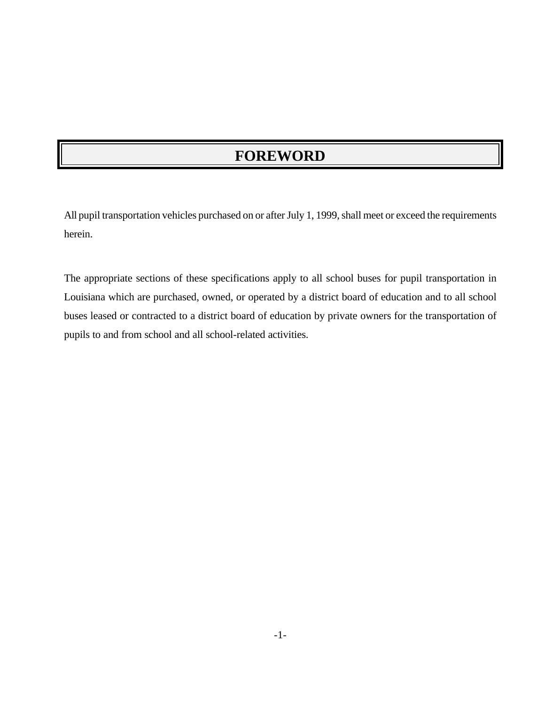## **FOREWORD**

All pupil transportation vehicles purchased on or after July 1, 1999, shall meet or exceed the requirements herein.

The appropriate sections of these specifications apply to all school buses for pupil transportation in Louisiana which are purchased, owned, or operated by a district board of education and to all school buses leased or contracted to a district board of education by private owners for the transportation of pupils to and from school and all school-related activities.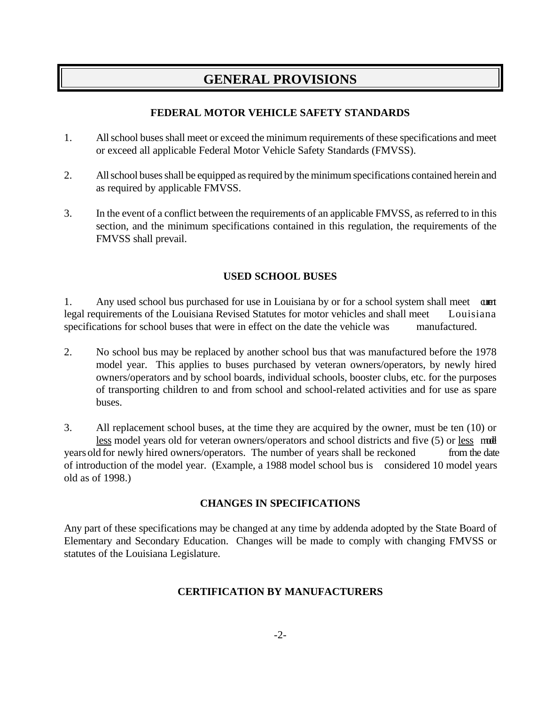### **GENERAL PROVISIONS**

#### **FEDERAL MOTOR VEHICLE SAFETY STANDARDS**

- 1. All school buses shall meet or exceed the minimum requirements of these specifications and meet or exceed all applicable Federal Motor Vehicle Safety Standards (FMVSS).
- 2. All school buses shall be equipped as required by the minimum specifications contained herein and as required by applicable FMVSS.
- 3. In the event of a conflict between the requirements of an applicable FMVSS, as referred to in this section, and the minimum specifications contained in this regulation, the requirements of the FMVSS shall prevail.

#### **USED SCHOOL BUSES**

1. Any used school bus purchased for use in Louisiana by or for a school system shall meet aunt legal requirements of the Louisiana Revised Statutes for motor vehicles and shall meet Louisiana specifications for school buses that were in effect on the date the vehicle was manufactured.

2. No school bus may be replaced by another school bus that was manufactured before the 1978 model year. This applies to buses purchased by veteran owners/operators, by newly hired owners/operators and by school boards, individual schools, booster clubs, etc. for the purposes of transporting children to and from school and school-related activities and for use as spare buses.

3. All replacement school buses, at the time they are acquired by the owner, must be ten (10) or less model years old for veteran owners/operators and school districts and five (5) or less model years old for newly hired owners/operators. The number of years shall be reckoned from the date of introduction of the model year. (Example, a 1988 model school bus is considered 10 model years old as of 1998.)

#### **CHANGES IN SPECIFICATIONS**

Any part of these specifications may be changed at any time by addenda adopted by the State Board of Elementary and Secondary Education. Changes will be made to comply with changing FMVSS or statutes of the Louisiana Legislature.

#### **CERTIFICATION BY MANUFACTURERS**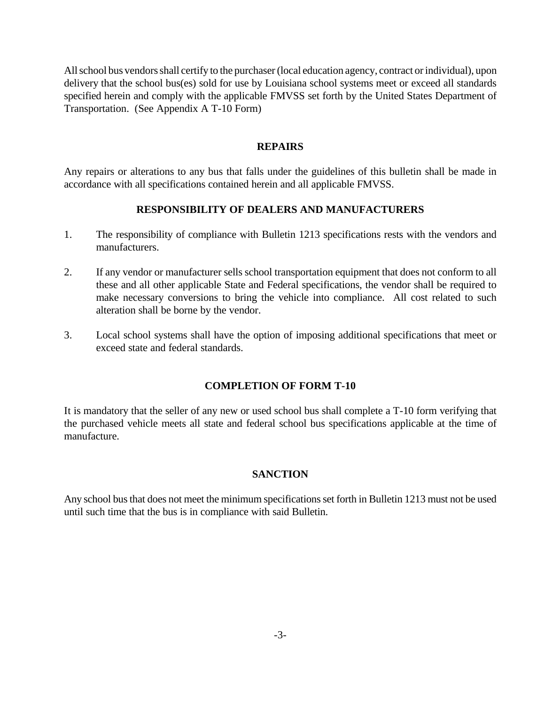All school bus vendors shall certify to the purchaser (local education agency, contract or individual), upon delivery that the school bus(es) sold for use by Louisiana school systems meet or exceed all standards specified herein and comply with the applicable FMVSS set forth by the United States Department of Transportation. (See Appendix A T-10 Form)

#### **REPAIRS**

Any repairs or alterations to any bus that falls under the guidelines of this bulletin shall be made in accordance with all specifications contained herein and all applicable FMVSS.

#### **RESPONSIBILITY OF DEALERS AND MANUFACTURERS**

- 1. The responsibility of compliance with Bulletin 1213 specifications rests with the vendors and manufacturers.
- 2. If any vendor or manufacturer sells school transportation equipment that does not conform to all these and all other applicable State and Federal specifications, the vendor shall be required to make necessary conversions to bring the vehicle into compliance. All cost related to such alteration shall be borne by the vendor.
- 3. Local school systems shall have the option of imposing additional specifications that meet or exceed state and federal standards.

#### **COMPLETION OF FORM T-10**

It is mandatory that the seller of any new or used school bus shall complete a T-10 form verifying that the purchased vehicle meets all state and federal school bus specifications applicable at the time of manufacture.

#### **SANCTION**

Any school bus that does not meet the minimum specifications set forth in Bulletin 1213 must not be used until such time that the bus is in compliance with said Bulletin.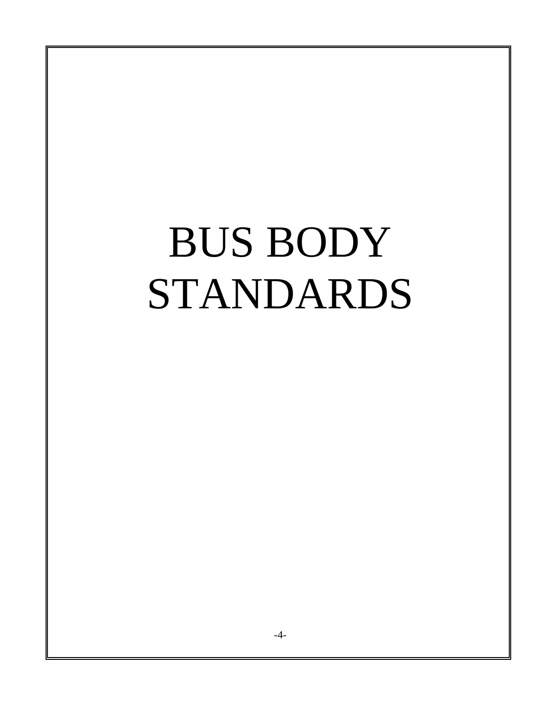## BUS BODY STANDARDS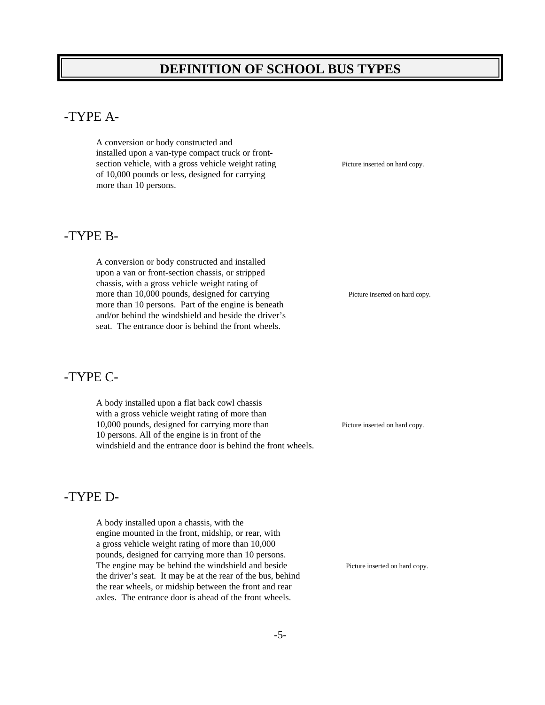### **DEFINITION OF SCHOOL BUS TYPES**

#### -TYPE A-

A conversion or body constructed and installed upon a van-type compact truck or frontsection vehicle, with a gross vehicle weight rating Picture inserted on hard copy. of 10,000 pounds or less, designed for carrying more than 10 persons.

#### -TYPE B-

A conversion or body constructed and installed upon a van or front-section chassis, or stripped chassis, with a gross vehicle weight rating of more than 10,000 pounds, designed for carrying Picture inserted on hard copy. more than 10 persons. Part of the engine is beneath and/or behind the windshield and beside the driver's seat. The entrance door is behind the front wheels.

#### -TYPE C-

A body installed upon a flat back cowl chassis with a gross vehicle weight rating of more than 10,000 pounds, designed for carrying more than Picture inserted on hard copy. 10 persons. All of the engine is in front of the windshield and the entrance door is behind the front wheels.

#### -TYPE D-

A body installed upon a chassis, with the engine mounted in the front, midship, or rear, with a gross vehicle weight rating of more than 10,000 pounds, designed for carrying more than 10 persons. The engine may be behind the windshield and beside Picture inserted on hard copy. the driver's seat. It may be at the rear of the bus, behind the rear wheels, or midship between the front and rear axles. The entrance door is ahead of the front wheels.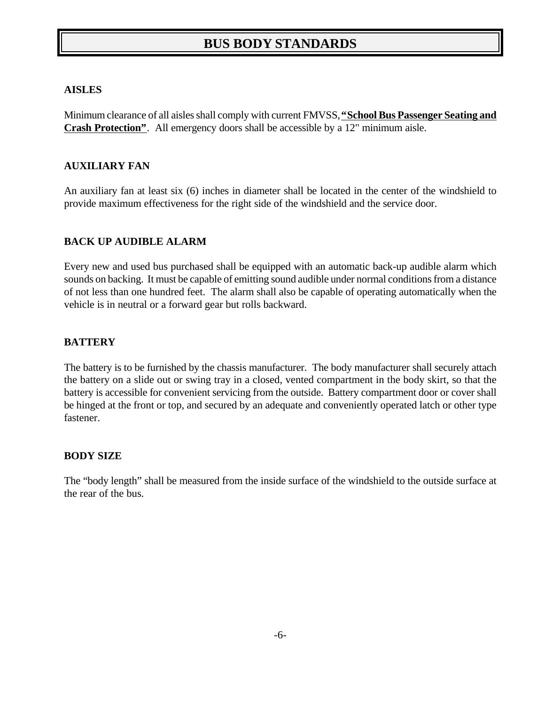## **BUS BODY STANDARDS**

#### **AISLES**

Minimum clearance of all aisles shall comply with current FMVSS, **"School Bus Passenger Seating and Crash Protection"**. All emergency doors shall be accessible by a 12" minimum aisle.

#### **AUXILIARY FAN**

An auxiliary fan at least six (6) inches in diameter shall be located in the center of the windshield to provide maximum effectiveness for the right side of the windshield and the service door.

#### **BACK UP AUDIBLE ALARM**

Every new and used bus purchased shall be equipped with an automatic back-up audible alarm which sounds on backing. It must be capable of emitting sound audible under normal conditions from a distance of not less than one hundred feet. The alarm shall also be capable of operating automatically when the vehicle is in neutral or a forward gear but rolls backward.

#### **BATTERY**

The battery is to be furnished by the chassis manufacturer. The body manufacturer shall securely attach the battery on a slide out or swing tray in a closed, vented compartment in the body skirt, so that the battery is accessible for convenient servicing from the outside. Battery compartment door or cover shall be hinged at the front or top, and secured by an adequate and conveniently operated latch or other type fastener.

#### **BODY SIZE**

The "body length" shall be measured from the inside surface of the windshield to the outside surface at the rear of the bus.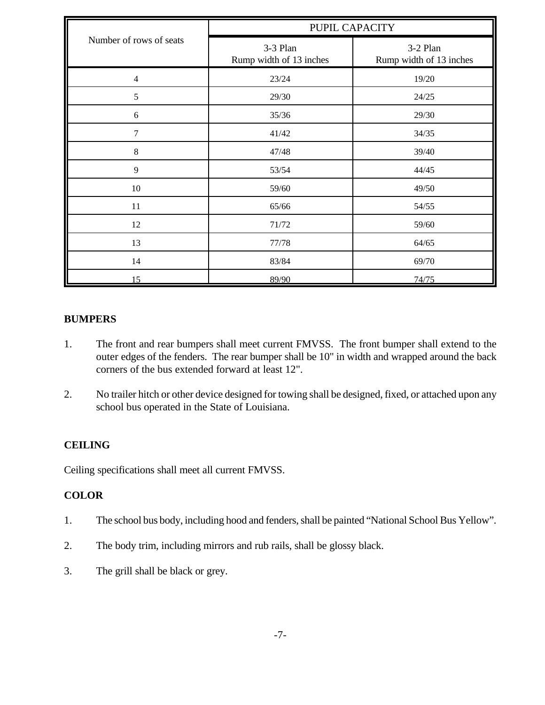|                         | PUPIL CAPACITY                      |                                     |  |  |
|-------------------------|-------------------------------------|-------------------------------------|--|--|
| Number of rows of seats | 3-3 Plan<br>Rump width of 13 inches | 3-2 Plan<br>Rump width of 13 inches |  |  |
| $\overline{4}$          | 23/24                               | 19/20                               |  |  |
| 5                       | 29/30                               | 24/25                               |  |  |
| $\sqrt{6}$              | 35/36                               | 29/30                               |  |  |
| $\tau$                  | 41/42                               | 34/35                               |  |  |
| $8\,$                   | 47/48                               | 39/40                               |  |  |
| 9                       | 53/54                               | 44/45                               |  |  |
| $10\,$                  | 59/60                               | 49/50                               |  |  |
| 11                      | 65/66                               | 54/55                               |  |  |
| 12                      | 71/72                               | 59/60                               |  |  |
| 13                      | 77/78                               | 64/65                               |  |  |
| 14                      | 83/84                               | 69/70                               |  |  |
| 15                      | 89/90                               | 74/75                               |  |  |

#### **BUMPERS**

- 1. The front and rear bumpers shall meet current FMVSS. The front bumper shall extend to the outer edges of the fenders. The rear bumper shall be 10" in width and wrapped around the back corners of the bus extended forward at least 12".
- 2. No trailer hitch or other device designed for towing shall be designed, fixed, or attached upon any school bus operated in the State of Louisiana.

#### **CEILING**

Ceiling specifications shall meet all current FMVSS.

#### **COLOR**

- 1. The school bus body, including hood and fenders, shall be painted "National School Bus Yellow".
- 2. The body trim, including mirrors and rub rails, shall be glossy black.
- 3. The grill shall be black or grey.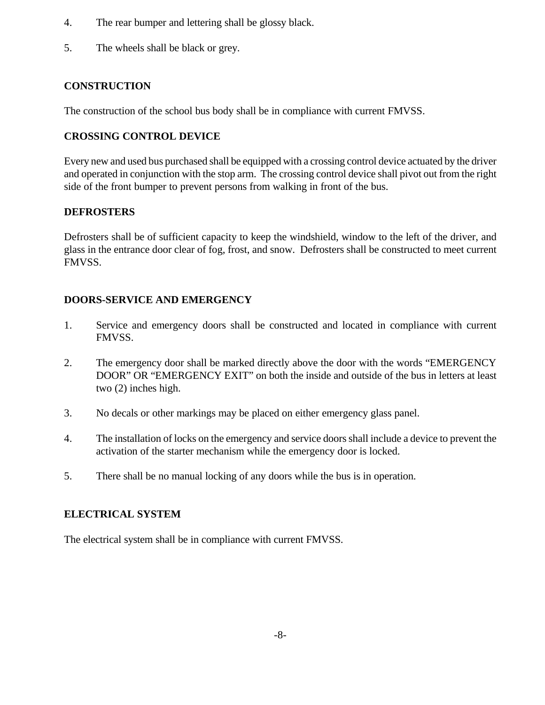- 4. The rear bumper and lettering shall be glossy black.
- 5. The wheels shall be black or grey.

#### **CONSTRUCTION**

The construction of the school bus body shall be in compliance with current FMVSS.

#### **CROSSING CONTROL DEVICE**

Every new and used bus purchased shall be equipped with a crossing control device actuated by the driver and operated in conjunction with the stop arm. The crossing control device shall pivot out from the right side of the front bumper to prevent persons from walking in front of the bus.

#### **DEFROSTERS**

Defrosters shall be of sufficient capacity to keep the windshield, window to the left of the driver, and glass in the entrance door clear of fog, frost, and snow. Defrosters shall be constructed to meet current FMVSS.

#### **DOORS-SERVICE AND EMERGENCY**

- 1. Service and emergency doors shall be constructed and located in compliance with current FMVSS.
- 2. The emergency door shall be marked directly above the door with the words "EMERGENCY DOOR" OR "EMERGENCY EXIT" on both the inside and outside of the bus in letters at least two (2) inches high.
- 3. No decals or other markings may be placed on either emergency glass panel.
- 4. The installation of locks on the emergency and service doors shall include a device to prevent the activation of the starter mechanism while the emergency door is locked.
- 5. There shall be no manual locking of any doors while the bus is in operation.

#### **ELECTRICAL SYSTEM**

The electrical system shall be in compliance with current FMVSS.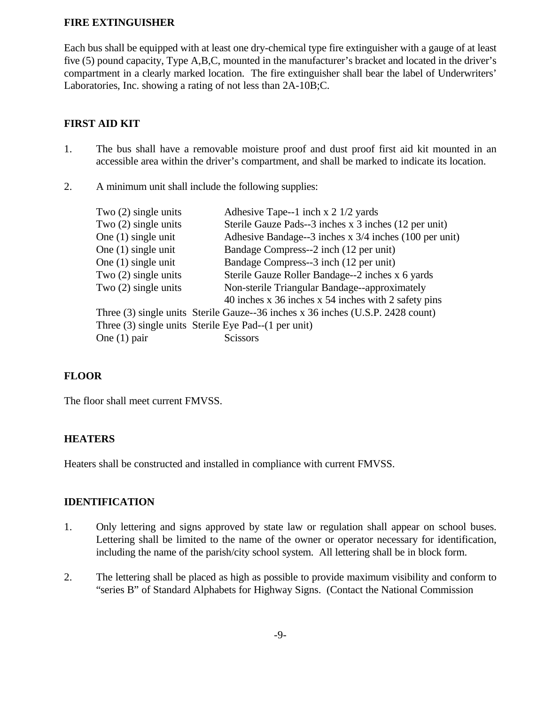#### **FIRE EXTINGUISHER**

Each bus shall be equipped with at least one dry-chemical type fire extinguisher with a gauge of at least five (5) pound capacity, Type A,B,C, mounted in the manufacturer's bracket and located in the driver's compartment in a clearly marked location. The fire extinguisher shall bear the label of Underwriters' Laboratories, Inc. showing a rating of not less than 2A-10B;C.

#### **FIRST AID KIT**

- 1. The bus shall have a removable moisture proof and dust proof first aid kit mounted in an accessible area within the driver's compartment, and shall be marked to indicate its location.
- 2. A minimum unit shall include the following supplies:

| Two $(2)$ single units | Adhesive Tape--1 inch x 2 1/2 yards                                             |
|------------------------|---------------------------------------------------------------------------------|
| Two $(2)$ single units | Sterile Gauze Pads--3 inches x 3 inches (12 per unit)                           |
| One $(1)$ single unit  | Adhesive Bandage--3 inches x 3/4 inches (100 per unit)                          |
| One $(1)$ single unit  | Bandage Compress--2 inch (12 per unit)                                          |
| One $(1)$ single unit  | Bandage Compress--3 inch (12 per unit)                                          |
| Two $(2)$ single units | Sterile Gauze Roller Bandage--2 inches x 6 yards                                |
| Two $(2)$ single units | Non-sterile Triangular Bandage--approximately                                   |
|                        | 40 inches x 36 inches x 54 inches with 2 safety pins                            |
|                        | Three (3) single units Sterile Gauze--36 inches x 36 inches (U.S.P. 2428 count) |
|                        | Three (3) single units Sterile Eye Pad--(1 per unit)                            |
| One $(1)$ pair         | <b>Scissors</b>                                                                 |
|                        |                                                                                 |

#### **FLOOR**

The floor shall meet current FMVSS.

#### **HEATERS**

Heaters shall be constructed and installed in compliance with current FMVSS.

#### **IDENTIFICATION**

- 1. Only lettering and signs approved by state law or regulation shall appear on school buses. Lettering shall be limited to the name of the owner or operator necessary for identification, including the name of the parish/city school system. All lettering shall be in block form.
- 2. The lettering shall be placed as high as possible to provide maximum visibility and conform to "series B" of Standard Alphabets for Highway Signs. (Contact the National Commission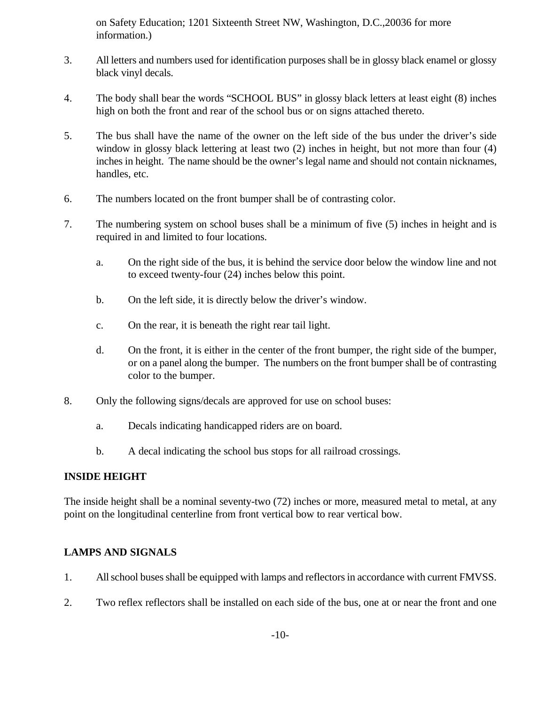on Safety Education; 1201 Sixteenth Street NW, Washington, D.C.,20036 for more information.)

- 3. All letters and numbers used for identification purposes shall be in glossy black enamel or glossy black vinyl decals.
- 4. The body shall bear the words "SCHOOL BUS" in glossy black letters at least eight (8) inches high on both the front and rear of the school bus or on signs attached thereto.
- 5. The bus shall have the name of the owner on the left side of the bus under the driver's side window in glossy black lettering at least two (2) inches in height, but not more than four (4) inches in height. The name should be the owner's legal name and should not contain nicknames, handles, etc.
- 6. The numbers located on the front bumper shall be of contrasting color.
- 7. The numbering system on school buses shall be a minimum of five (5) inches in height and is required in and limited to four locations.
	- a. On the right side of the bus, it is behind the service door below the window line and not to exceed twenty-four (24) inches below this point.
	- b. On the left side, it is directly below the driver's window.
	- c. On the rear, it is beneath the right rear tail light.
	- d. On the front, it is either in the center of the front bumper, the right side of the bumper, or on a panel along the bumper. The numbers on the front bumper shall be of contrasting color to the bumper.
- 8. Only the following signs/decals are approved for use on school buses:
	- a. Decals indicating handicapped riders are on board.
	- b. A decal indicating the school bus stops for all railroad crossings.

#### **INSIDE HEIGHT**

The inside height shall be a nominal seventy-two (72) inches or more, measured metal to metal, at any point on the longitudinal centerline from front vertical bow to rear vertical bow.

#### **LAMPS AND SIGNALS**

- 1. All school buses shall be equipped with lamps and reflectors in accordance with current FMVSS.
- 2. Two reflex reflectors shall be installed on each side of the bus, one at or near the front and one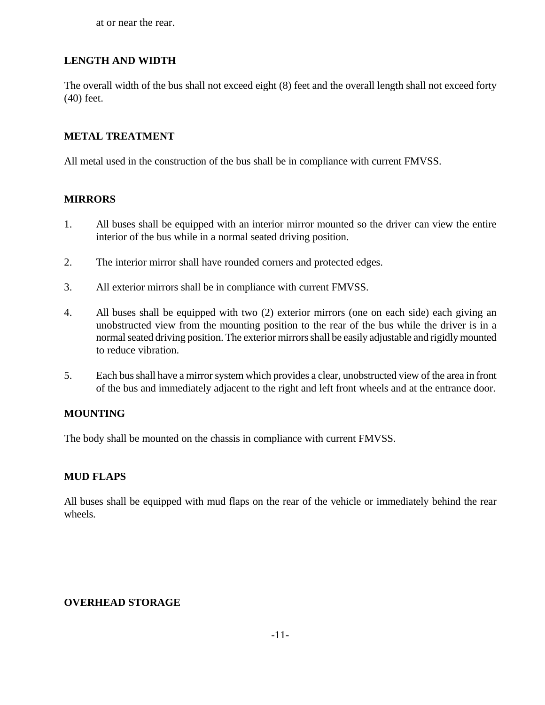at or near the rear.

#### **LENGTH AND WIDTH**

The overall width of the bus shall not exceed eight (8) feet and the overall length shall not exceed forty (40) feet.

#### **METAL TREATMENT**

All metal used in the construction of the bus shall be in compliance with current FMVSS.

#### **MIRRORS**

- 1. All buses shall be equipped with an interior mirror mounted so the driver can view the entire interior of the bus while in a normal seated driving position.
- 2. The interior mirror shall have rounded corners and protected edges.
- 3. All exterior mirrors shall be in compliance with current FMVSS.
- 4. All buses shall be equipped with two (2) exterior mirrors (one on each side) each giving an unobstructed view from the mounting position to the rear of the bus while the driver is in a normal seated driving position. The exterior mirrors shall be easily adjustable and rigidly mounted to reduce vibration.
- 5. Each bus shall have a mirror system which provides a clear, unobstructed view of the area in front of the bus and immediately adjacent to the right and left front wheels and at the entrance door.

#### **MOUNTING**

The body shall be mounted on the chassis in compliance with current FMVSS.

#### **MUD FLAPS**

All buses shall be equipped with mud flaps on the rear of the vehicle or immediately behind the rear wheels.

#### **OVERHEAD STORAGE**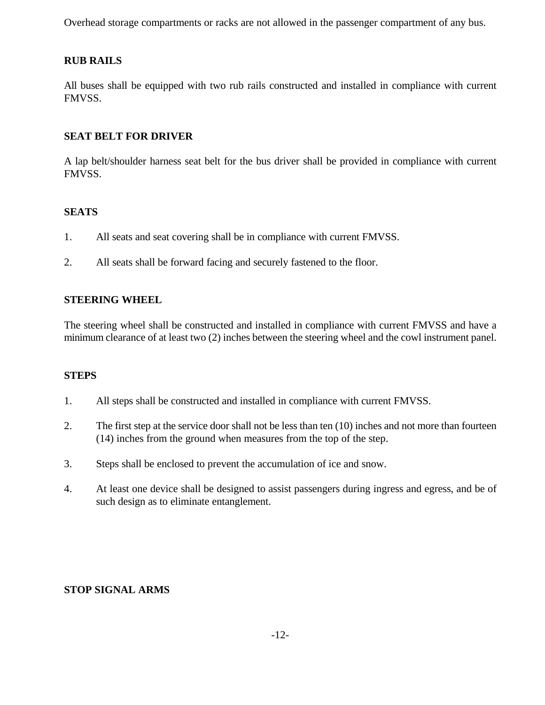Overhead storage compartments or racks are not allowed in the passenger compartment of any bus.

#### **RUB RAILS**

All buses shall be equipped with two rub rails constructed and installed in compliance with current FMVSS.

#### **SEAT BELT FOR DRIVER**

A lap belt/shoulder harness seat belt for the bus driver shall be provided in compliance with current FMVSS.

#### **SEATS**

- 1. All seats and seat covering shall be in compliance with current FMVSS.
- 2. All seats shall be forward facing and securely fastened to the floor.

#### **STEERING WHEEL**

The steering wheel shall be constructed and installed in compliance with current FMVSS and have a minimum clearance of at least two (2) inches between the steering wheel and the cowl instrument panel.

#### **STEPS**

- 1. All steps shall be constructed and installed in compliance with current FMVSS.
- 2. The first step at the service door shall not be less than ten (10) inches and not more than fourteen (14) inches from the ground when measures from the top of the step.
- 3. Steps shall be enclosed to prevent the accumulation of ice and snow.
- 4. At least one device shall be designed to assist passengers during ingress and egress, and be of such design as to eliminate entanglement.

#### **STOP SIGNAL ARMS**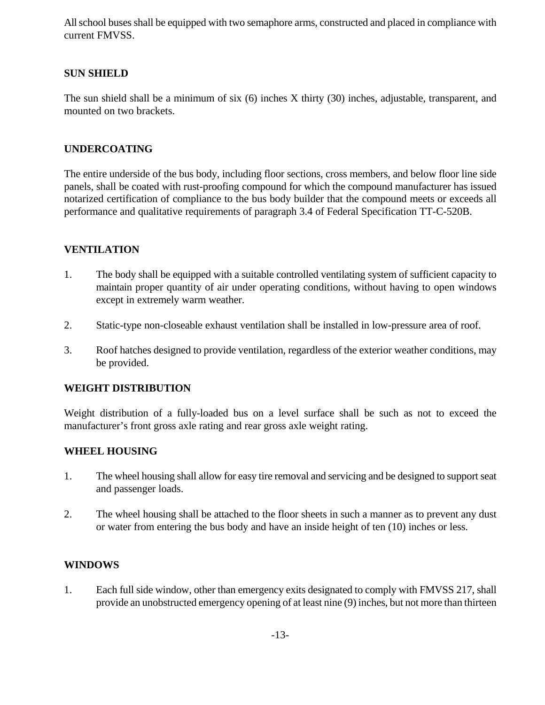All school buses shall be equipped with two semaphore arms, constructed and placed in compliance with current FMVSS.

#### **SUN SHIELD**

The sun shield shall be a minimum of six (6) inches X thirty (30) inches, adjustable, transparent, and mounted on two brackets.

#### **UNDERCOATING**

The entire underside of the bus body, including floor sections, cross members, and below floor line side panels, shall be coated with rust-proofing compound for which the compound manufacturer has issued notarized certification of compliance to the bus body builder that the compound meets or exceeds all performance and qualitative requirements of paragraph 3.4 of Federal Specification TT-C-520B.

#### **VENTILATION**

- 1. The body shall be equipped with a suitable controlled ventilating system of sufficient capacity to maintain proper quantity of air under operating conditions, without having to open windows except in extremely warm weather.
- 2. Static-type non-closeable exhaust ventilation shall be installed in low-pressure area of roof.
- 3. Roof hatches designed to provide ventilation, regardless of the exterior weather conditions, may be provided.

#### **WEIGHT DISTRIBUTION**

Weight distribution of a fully-loaded bus on a level surface shall be such as not to exceed the manufacturer's front gross axle rating and rear gross axle weight rating.

#### **WHEEL HOUSING**

- 1. The wheel housing shall allow for easy tire removal and servicing and be designed to support seat and passenger loads.
- 2. The wheel housing shall be attached to the floor sheets in such a manner as to prevent any dust or water from entering the bus body and have an inside height of ten (10) inches or less.

#### **WINDOWS**

1. Each full side window, other than emergency exits designated to comply with FMVSS 217, shall provide an unobstructed emergency opening of at least nine (9) inches, but not more than thirteen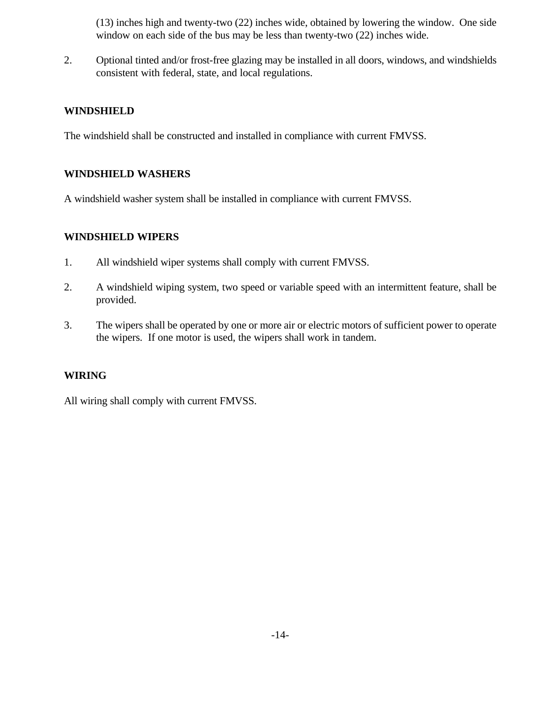(13) inches high and twenty-two (22) inches wide, obtained by lowering the window. One side window on each side of the bus may be less than twenty-two (22) inches wide.

2. Optional tinted and/or frost-free glazing may be installed in all doors, windows, and windshields consistent with federal, state, and local regulations.

#### **WINDSHIELD**

The windshield shall be constructed and installed in compliance with current FMVSS.

#### **WINDSHIELD WASHERS**

A windshield washer system shall be installed in compliance with current FMVSS.

#### **WINDSHIELD WIPERS**

- 1. All windshield wiper systems shall comply with current FMVSS.
- 2. A windshield wiping system, two speed or variable speed with an intermittent feature, shall be provided.
- 3. The wipers shall be operated by one or more air or electric motors of sufficient power to operate the wipers. If one motor is used, the wipers shall work in tandem.

#### **WIRING**

All wiring shall comply with current FMVSS.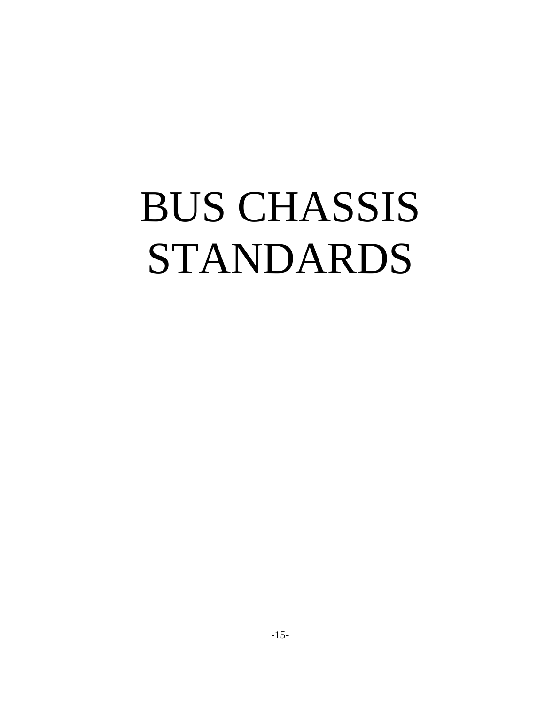## BUS CHASSIS STANDARDS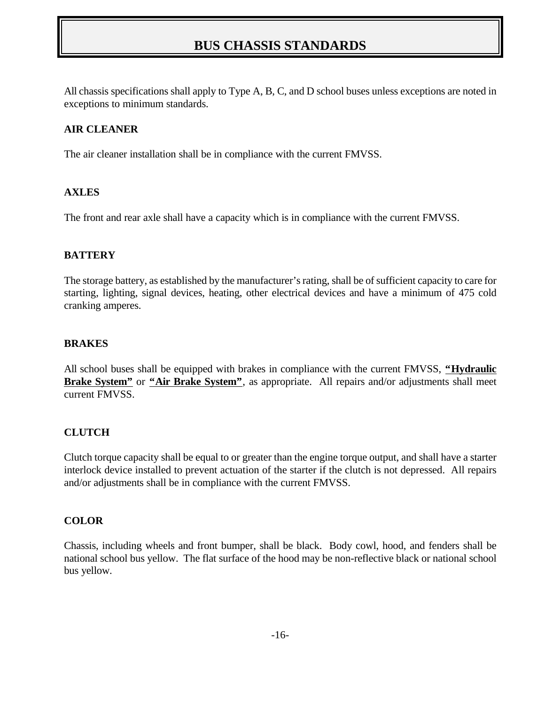## **BUS CHASSIS STANDARDS**

All chassis specifications shall apply to Type A, B, C, and D school buses unless exceptions are noted in exceptions to minimum standards.

#### **AIR CLEANER**

The air cleaner installation shall be in compliance with the current FMVSS.

#### **AXLES**

The front and rear axle shall have a capacity which is in compliance with the current FMVSS.

#### **BATTERY**

The storage battery, as established by the manufacturer's rating, shall be of sufficient capacity to care for starting, lighting, signal devices, heating, other electrical devices and have a minimum of 475 cold cranking amperes.

#### **BRAKES**

All school buses shall be equipped with brakes in compliance with the current FMVSS, **"Hydraulic Brake System"** or **"Air Brake System"**, as appropriate. All repairs and/or adjustments shall meet current FMVSS.

#### **CLUTCH**

Clutch torque capacity shall be equal to or greater than the engine torque output, and shall have a starter interlock device installed to prevent actuation of the starter if the clutch is not depressed. All repairs and/or adjustments shall be in compliance with the current FMVSS.

#### **COLOR**

Chassis, including wheels and front bumper, shall be black. Body cowl, hood, and fenders shall be national school bus yellow. The flat surface of the hood may be non-reflective black or national school bus yellow.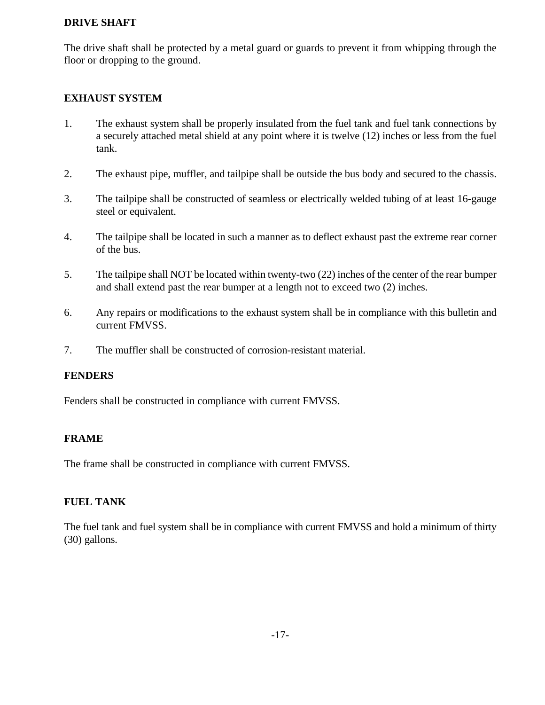#### **DRIVE SHAFT**

The drive shaft shall be protected by a metal guard or guards to prevent it from whipping through the floor or dropping to the ground.

#### **EXHAUST SYSTEM**

- 1. The exhaust system shall be properly insulated from the fuel tank and fuel tank connections by a securely attached metal shield at any point where it is twelve (12) inches or less from the fuel tank.
- 2. The exhaust pipe, muffler, and tailpipe shall be outside the bus body and secured to the chassis.
- 3. The tailpipe shall be constructed of seamless or electrically welded tubing of at least 16-gauge steel or equivalent.
- 4. The tailpipe shall be located in such a manner as to deflect exhaust past the extreme rear corner of the bus.
- 5. The tailpipe shall NOT be located within twenty-two (22) inches of the center of the rear bumper and shall extend past the rear bumper at a length not to exceed two (2) inches.
- 6. Any repairs or modifications to the exhaust system shall be in compliance with this bulletin and current FMVSS.
- 7. The muffler shall be constructed of corrosion-resistant material.

#### **FENDERS**

Fenders shall be constructed in compliance with current FMVSS.

#### **FRAME**

The frame shall be constructed in compliance with current FMVSS.

#### **FUEL TANK**

The fuel tank and fuel system shall be in compliance with current FMVSS and hold a minimum of thirty (30) gallons.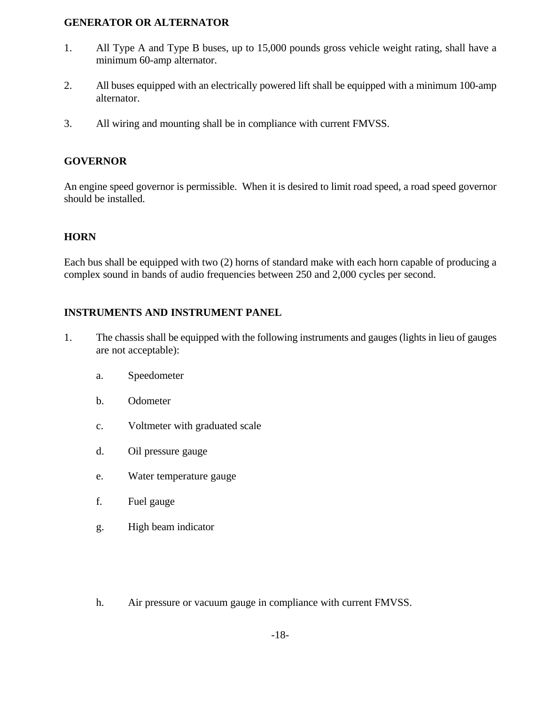#### **GENERATOR OR ALTERNATOR**

- 1. All Type A and Type B buses, up to 15,000 pounds gross vehicle weight rating, shall have a minimum 60-amp alternator.
- 2. All buses equipped with an electrically powered lift shall be equipped with a minimum 100-amp alternator.
- 3. All wiring and mounting shall be in compliance with current FMVSS.

#### **GOVERNOR**

An engine speed governor is permissible. When it is desired to limit road speed, a road speed governor should be installed.

#### **HORN**

Each bus shall be equipped with two (2) horns of standard make with each horn capable of producing a complex sound in bands of audio frequencies between 250 and 2,000 cycles per second.

#### **INSTRUMENTS AND INSTRUMENT PANEL**

- 1. The chassis shall be equipped with the following instruments and gauges (lights in lieu of gauges are not acceptable):
	- a. Speedometer
	- b. Odometer
	- c. Voltmeter with graduated scale
	- d. Oil pressure gauge
	- e. Water temperature gauge
	- f. Fuel gauge
	- g. High beam indicator
	- h. Air pressure or vacuum gauge in compliance with current FMVSS.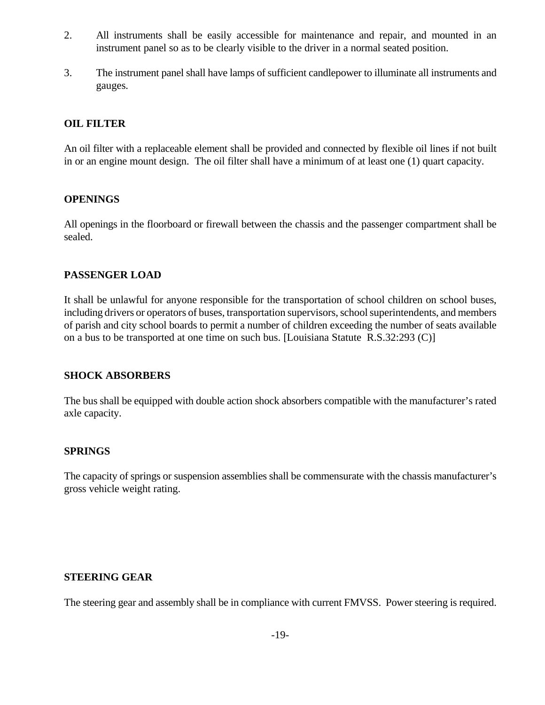- 2. All instruments shall be easily accessible for maintenance and repair, and mounted in an instrument panel so as to be clearly visible to the driver in a normal seated position.
- 3. The instrument panel shall have lamps of sufficient candlepower to illuminate all instruments and gauges.

#### **OIL FILTER**

An oil filter with a replaceable element shall be provided and connected by flexible oil lines if not built in or an engine mount design. The oil filter shall have a minimum of at least one (1) quart capacity.

#### **OPENINGS**

All openings in the floorboard or firewall between the chassis and the passenger compartment shall be sealed.

#### **PASSENGER LOAD**

It shall be unlawful for anyone responsible for the transportation of school children on school buses, including drivers or operators of buses, transportation supervisors, school superintendents, and members of parish and city school boards to permit a number of children exceeding the number of seats available on a bus to be transported at one time on such bus. [Louisiana Statute R.S.32:293 (C)]

#### **SHOCK ABSORBERS**

The bus shall be equipped with double action shock absorbers compatible with the manufacturer's rated axle capacity.

#### **SPRINGS**

The capacity of springs or suspension assemblies shall be commensurate with the chassis manufacturer's gross vehicle weight rating.

#### **STEERING GEAR**

The steering gear and assembly shall be in compliance with current FMVSS. Power steering is required.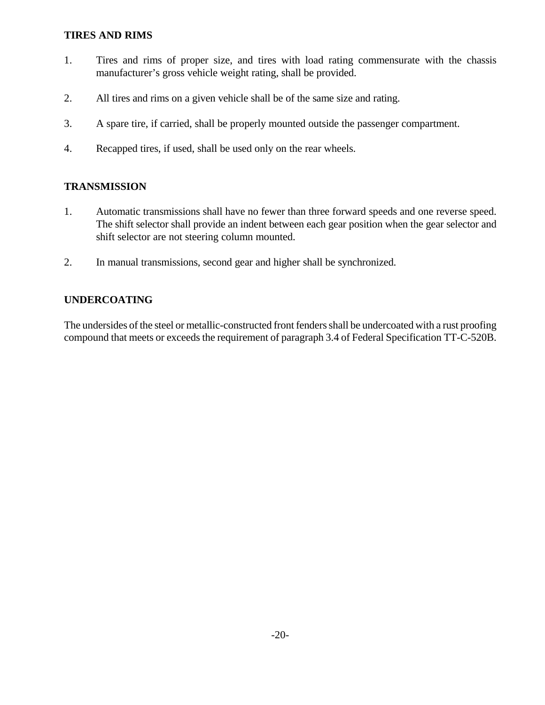#### **TIRES AND RIMS**

- 1. Tires and rims of proper size, and tires with load rating commensurate with the chassis manufacturer's gross vehicle weight rating, shall be provided.
- 2. All tires and rims on a given vehicle shall be of the same size and rating.
- 3. A spare tire, if carried, shall be properly mounted outside the passenger compartment.
- 4. Recapped tires, if used, shall be used only on the rear wheels.

#### **TRANSMISSION**

- 1. Automatic transmissions shall have no fewer than three forward speeds and one reverse speed. The shift selector shall provide an indent between each gear position when the gear selector and shift selector are not steering column mounted.
- 2. In manual transmissions, second gear and higher shall be synchronized.

#### **UNDERCOATING**

The undersides of the steel or metallic-constructed front fenders shall be undercoated with a rust proofing compound that meets or exceeds the requirement of paragraph 3.4 of Federal Specification TT-C-520B.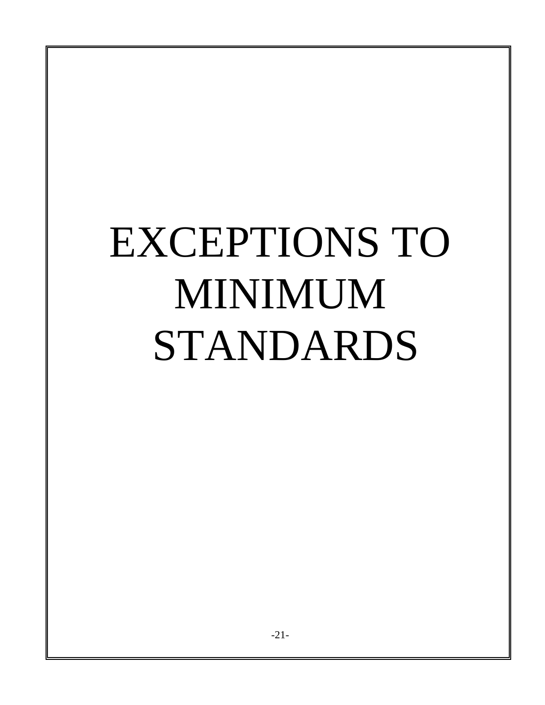# EXCEPTIONS TO MINIMUM STANDARDS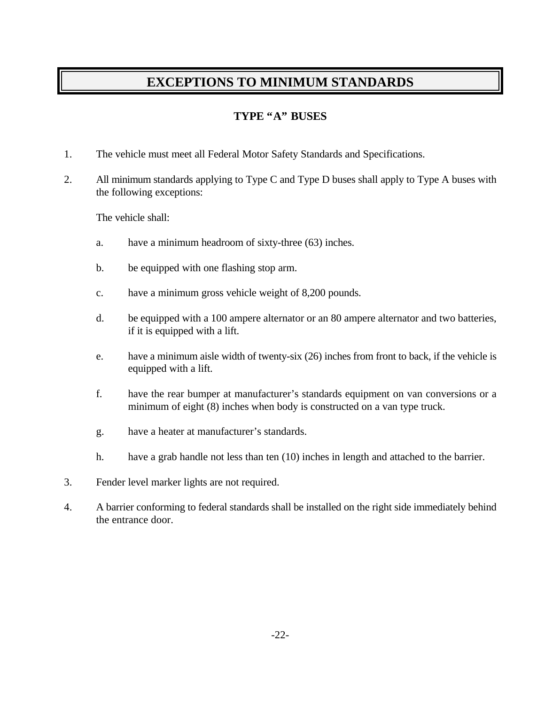### **EXCEPTIONS TO MINIMUM STANDARDS**

#### **TYPE "A" BUSES**

- 1. The vehicle must meet all Federal Motor Safety Standards and Specifications.
- 2. All minimum standards applying to Type C and Type D buses shall apply to Type A buses with the following exceptions:

The vehicle shall:

- a. have a minimum headroom of sixty-three (63) inches.
- b. be equipped with one flashing stop arm.
- c. have a minimum gross vehicle weight of 8,200 pounds.
- d. be equipped with a 100 ampere alternator or an 80 ampere alternator and two batteries, if it is equipped with a lift.
- e. have a minimum aisle width of twenty-six (26) inches from front to back, if the vehicle is equipped with a lift.
- f. have the rear bumper at manufacturer's standards equipment on van conversions or a minimum of eight (8) inches when body is constructed on a van type truck.
- g. have a heater at manufacturer's standards.
- h. have a grab handle not less than ten (10) inches in length and attached to the barrier.
- 3. Fender level marker lights are not required.
- 4. A barrier conforming to federal standards shall be installed on the right side immediately behind the entrance door.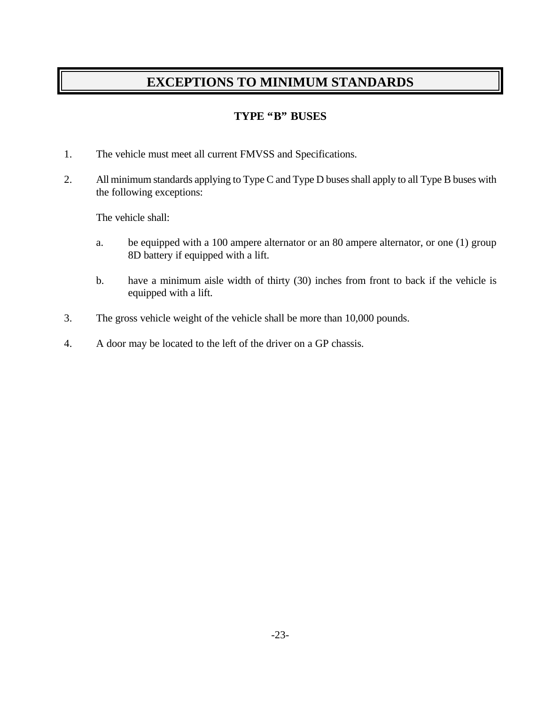### **EXCEPTIONS TO MINIMUM STANDARDS**

#### **TYPE "B" BUSES**

- 1. The vehicle must meet all current FMVSS and Specifications.
- 2. All minimum standards applying to Type C and Type D buses shall apply to all Type B buses with the following exceptions:

The vehicle shall:

- a. be equipped with a 100 ampere alternator or an 80 ampere alternator, or one (1) group 8D battery if equipped with a lift.
- b. have a minimum aisle width of thirty (30) inches from front to back if the vehicle is equipped with a lift.
- 3. The gross vehicle weight of the vehicle shall be more than 10,000 pounds.
- 4. A door may be located to the left of the driver on a GP chassis.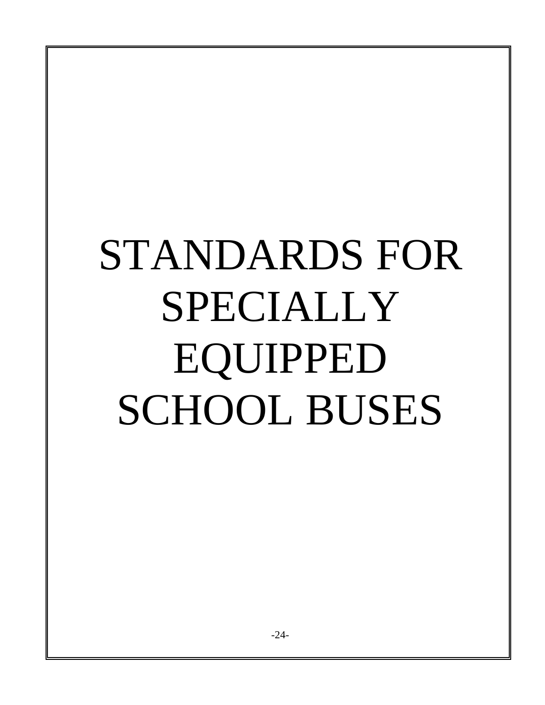# STANDARDS FOR SPECIALLY EQUIPPED SCHOOL BUSES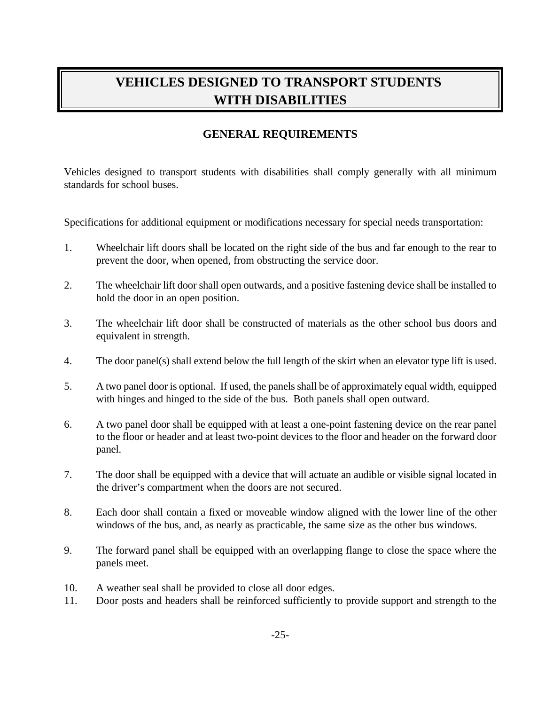## **VEHICLES DESIGNED TO TRANSPORT STUDENTS WITH DISABILITIES**

#### **GENERAL REQUIREMENTS**

Vehicles designed to transport students with disabilities shall comply generally with all minimum standards for school buses.

Specifications for additional equipment or modifications necessary for special needs transportation:

- 1. Wheelchair lift doors shall be located on the right side of the bus and far enough to the rear to prevent the door, when opened, from obstructing the service door.
- 2. The wheelchair lift door shall open outwards, and a positive fastening device shall be installed to hold the door in an open position.
- 3. The wheelchair lift door shall be constructed of materials as the other school bus doors and equivalent in strength.
- 4. The door panel(s) shall extend below the full length of the skirt when an elevator type lift is used.
- 5. A two panel door is optional. If used, the panels shall be of approximately equal width, equipped with hinges and hinged to the side of the bus. Both panels shall open outward.
- 6. A two panel door shall be equipped with at least a one-point fastening device on the rear panel to the floor or header and at least two-point devices to the floor and header on the forward door panel.
- 7. The door shall be equipped with a device that will actuate an audible or visible signal located in the driver's compartment when the doors are not secured.
- 8. Each door shall contain a fixed or moveable window aligned with the lower line of the other windows of the bus, and, as nearly as practicable, the same size as the other bus windows.
- 9. The forward panel shall be equipped with an overlapping flange to close the space where the panels meet.
- 10. A weather seal shall be provided to close all door edges.
- 11. Door posts and headers shall be reinforced sufficiently to provide support and strength to the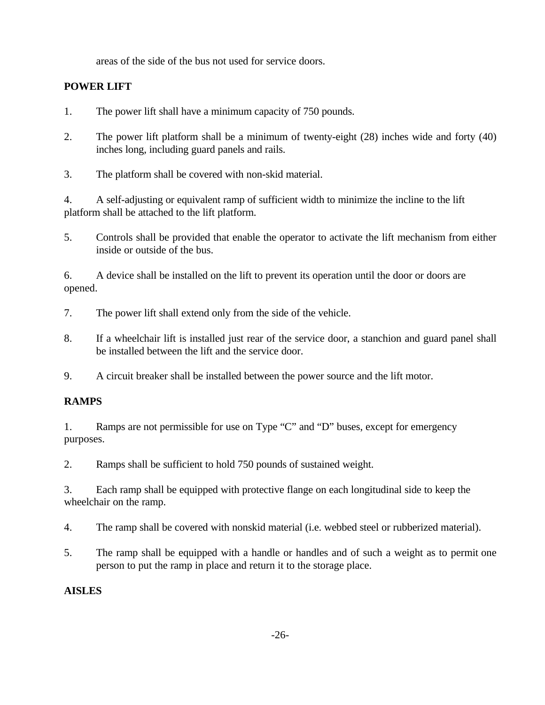areas of the side of the bus not used for service doors.

#### **POWER LIFT**

1. The power lift shall have a minimum capacity of 750 pounds.

2. The power lift platform shall be a minimum of twenty-eight (28) inches wide and forty (40) inches long, including guard panels and rails.

3. The platform shall be covered with non-skid material.

4. A self-adjusting or equivalent ramp of sufficient width to minimize the incline to the lift platform shall be attached to the lift platform.

5. Controls shall be provided that enable the operator to activate the lift mechanism from either inside or outside of the bus.

6. A device shall be installed on the lift to prevent its operation until the door or doors are opened.

- 7. The power lift shall extend only from the side of the vehicle.
- 8. If a wheelchair lift is installed just rear of the service door, a stanchion and guard panel shall be installed between the lift and the service door.

9. A circuit breaker shall be installed between the power source and the lift motor.

#### **RAMPS**

1. Ramps are not permissible for use on Type "C" and "D" buses, except for emergency purposes.

2. Ramps shall be sufficient to hold 750 pounds of sustained weight.

3. Each ramp shall be equipped with protective flange on each longitudinal side to keep the wheelchair on the ramp.

4. The ramp shall be covered with nonskid material (i.e. webbed steel or rubberized material).

5. The ramp shall be equipped with a handle or handles and of such a weight as to permit one person to put the ramp in place and return it to the storage place.

#### **AISLES**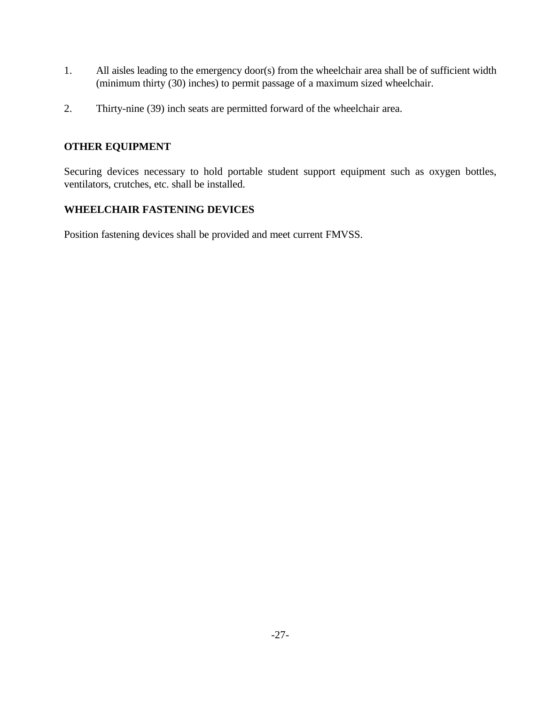- 1. All aisles leading to the emergency door(s) from the wheelchair area shall be of sufficient width (minimum thirty (30) inches) to permit passage of a maximum sized wheelchair.
- 2. Thirty-nine (39) inch seats are permitted forward of the wheelchair area.

#### **OTHER EQUIPMENT**

Securing devices necessary to hold portable student support equipment such as oxygen bottles, ventilators, crutches, etc. shall be installed.

#### **WHEELCHAIR FASTENING DEVICES**

Position fastening devices shall be provided and meet current FMVSS.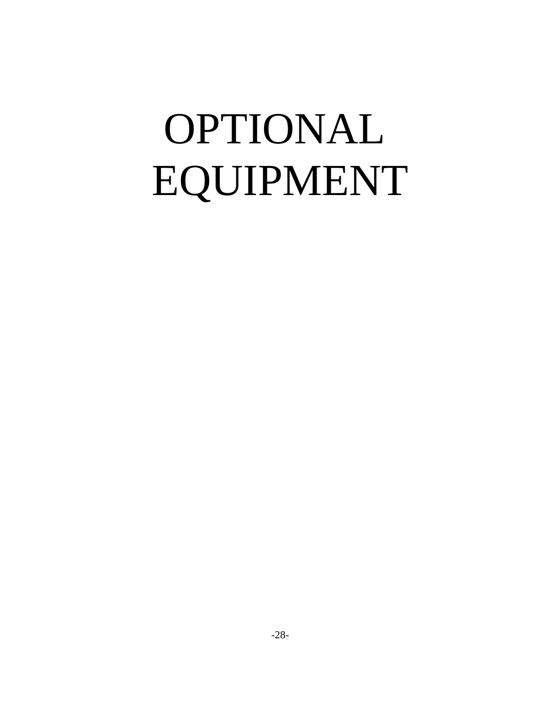## OPTIONAL EQUIPMENT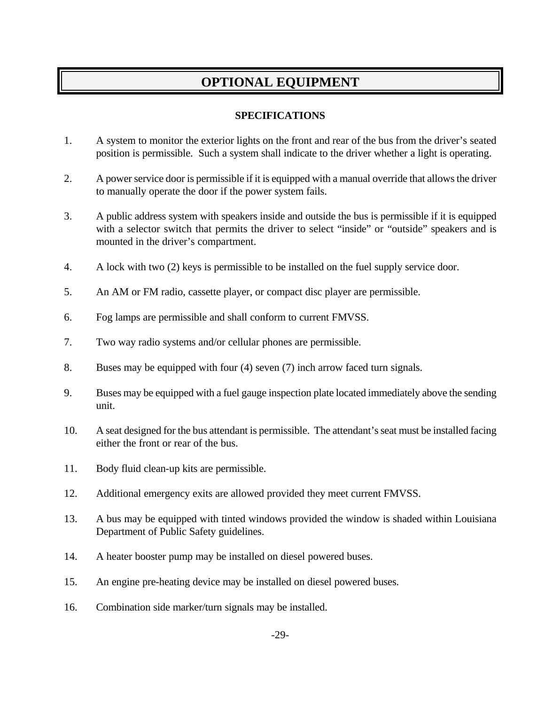### **OPTIONAL EQUIPMENT**

#### **SPECIFICATIONS**

- 1. A system to monitor the exterior lights on the front and rear of the bus from the driver's seated position is permissible. Such a system shall indicate to the driver whether a light is operating.
- 2. A power service door is permissible if it is equipped with a manual override that allows the driver to manually operate the door if the power system fails.
- 3. A public address system with speakers inside and outside the bus is permissible if it is equipped with a selector switch that permits the driver to select "inside" or "outside" speakers and is mounted in the driver's compartment.
- 4. A lock with two (2) keys is permissible to be installed on the fuel supply service door.
- 5. An AM or FM radio, cassette player, or compact disc player are permissible.
- 6. Fog lamps are permissible and shall conform to current FMVSS.
- 7. Two way radio systems and/or cellular phones are permissible.
- 8. Buses may be equipped with four (4) seven (7) inch arrow faced turn signals.
- 9. Buses may be equipped with a fuel gauge inspection plate located immediately above the sending unit.
- 10. A seat designed for the bus attendant is permissible. The attendant's seat must be installed facing either the front or rear of the bus.
- 11. Body fluid clean-up kits are permissible.
- 12. Additional emergency exits are allowed provided they meet current FMVSS.
- 13. A bus may be equipped with tinted windows provided the window is shaded within Louisiana Department of Public Safety guidelines.
- 14. A heater booster pump may be installed on diesel powered buses.
- 15. An engine pre-heating device may be installed on diesel powered buses.
- 16. Combination side marker/turn signals may be installed.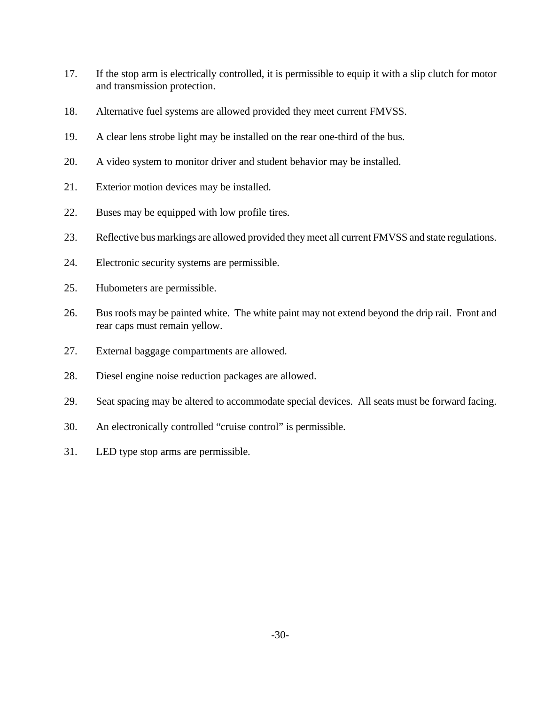- 17. If the stop arm is electrically controlled, it is permissible to equip it with a slip clutch for motor and transmission protection.
- 18. Alternative fuel systems are allowed provided they meet current FMVSS.
- 19. A clear lens strobe light may be installed on the rear one-third of the bus.
- 20. A video system to monitor driver and student behavior may be installed.
- 21. Exterior motion devices may be installed.
- 22. Buses may be equipped with low profile tires.
- 23. Reflective bus markings are allowed provided they meet all current FMVSS and state regulations.
- 24. Electronic security systems are permissible.
- 25. Hubometers are permissible.
- 26. Bus roofs may be painted white. The white paint may not extend beyond the drip rail. Front and rear caps must remain yellow.
- 27. External baggage compartments are allowed.
- 28. Diesel engine noise reduction packages are allowed.
- 29. Seat spacing may be altered to accommodate special devices. All seats must be forward facing.
- 30. An electronically controlled "cruise control" is permissible.
- 31. LED type stop arms are permissible.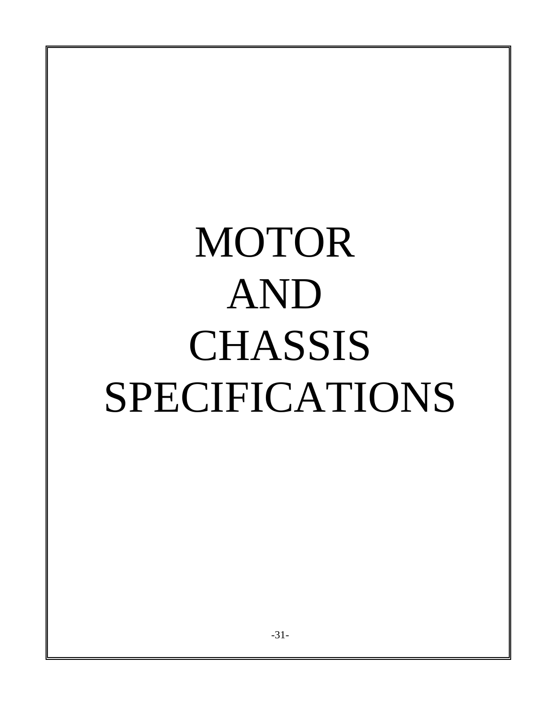# MOTOR AND **CHASSIS** SPECIFICATIONS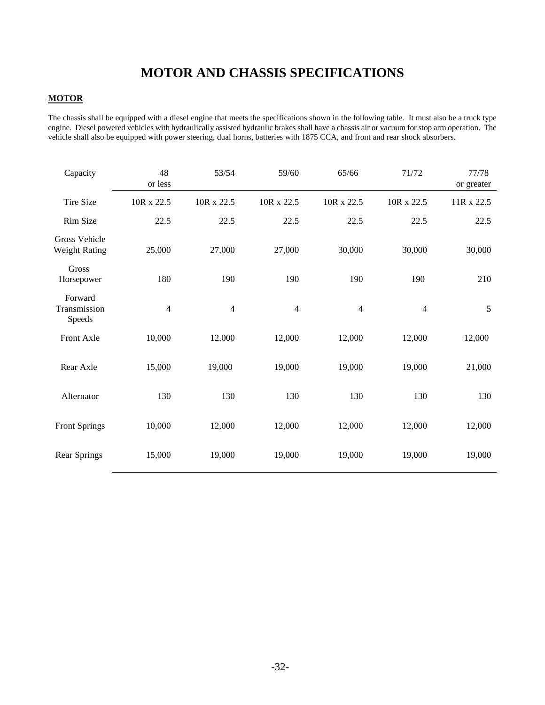## **MOTOR AND CHASSIS SPECIFICATIONS**

#### **MOTOR**

The chassis shall be equipped with a diesel engine that meets the specifications shown in the following table. It must also be a truck type engine. Diesel powered vehicles with hydraulically assisted hydraulic brakes shall have a chassis air or vacuum for stop arm operation. The vehicle shall also be equipped with power steering, dual horns, batteries with 1875 CCA, and front and rear shock absorbers.

| Capacity                                     | 48<br>or less  | 53/54          | 59/60          | 65/66      | 71/72          | 77/78<br>or greater |
|----------------------------------------------|----------------|----------------|----------------|------------|----------------|---------------------|
| <b>Tire Size</b>                             | 10R x 22.5     | 10R x 22.5     | 10R x 22.5     | 10R x 22.5 | 10R x 22.5     | 11R x 22.5          |
| Rim Size                                     | 22.5           | 22.5           | 22.5           | 22.5       | 22.5           | 22.5                |
| <b>Gross Vehicle</b><br><b>Weight Rating</b> | 25,000         | 27,000         | 27,000         | 30,000     | 30,000         | 30,000              |
| Gross<br>Horsepower                          | 180            | 190            | 190            | 190        | 190            | 210                 |
| Forward<br>Transmission<br>Speeds            | $\overline{4}$ | $\overline{4}$ | $\overline{4}$ | 4          | $\overline{4}$ | 5                   |
| Front Axle                                   | 10,000         | 12,000         | 12,000         | 12,000     | 12,000         | 12,000              |
| Rear Axle                                    | 15,000         | 19,000         | 19,000         | 19,000     | 19,000         | 21,000              |
| Alternator                                   | 130            | 130            | 130            | 130        | 130            | 130                 |
| <b>Front Springs</b>                         | 10,000         | 12,000         | 12,000         | 12,000     | 12,000         | 12,000              |
| Rear Springs                                 | 15,000         | 19,000         | 19,000         | 19,000     | 19,000         | 19,000              |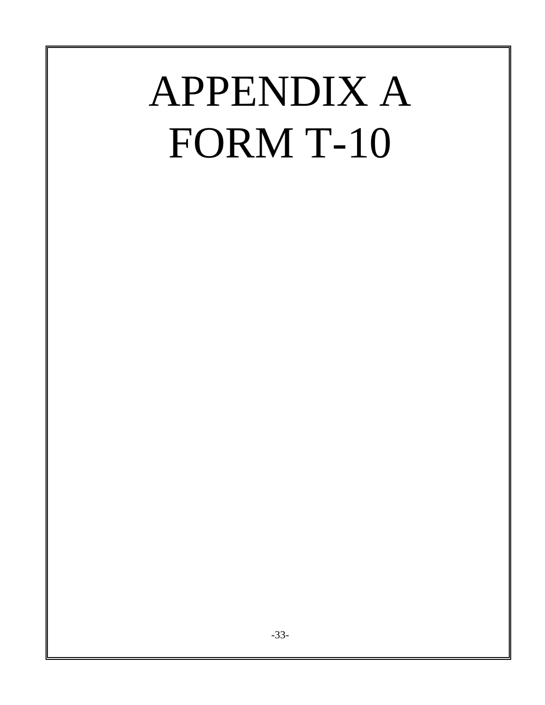## APPENDIX A FORM T-10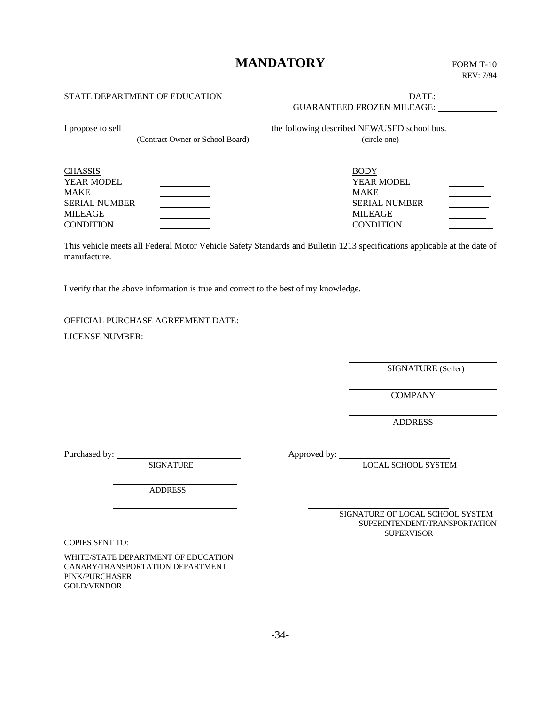## **MANDATORY** FORM T-10

| STATE DEPARTMENT OF EDUCATION                                                                                                                                                                             | GUARANTEED FROZEN MILEAGE:                                                                                               |
|-----------------------------------------------------------------------------------------------------------------------------------------------------------------------------------------------------------|--------------------------------------------------------------------------------------------------------------------------|
| (Contract Owner or School Board)                                                                                                                                                                          | (circle one)                                                                                                             |
| <b>CHASSIS</b><br>YEAR MODEL<br><b>MAKE</b><br><u> 1989 - Johann Barnett, fransk konge</u><br><b>SERIAL NUMBER</b><br><u> 1990 - John Barnett, fransk politiker</u><br><b>MILEAGE</b><br><b>CONDITION</b> | <b>BODY</b><br>YEAR MODEL<br><b>MAKE</b><br><b>SERIAL NUMBER</b><br><b>MILEAGE</b><br><b>CONDITION</b>                   |
| manufacture.                                                                                                                                                                                              | This vehicle meets all Federal Motor Vehicle Safety Standards and Bulletin 1213 specifications applicable at the date of |
| I verify that the above information is true and correct to the best of my knowledge.                                                                                                                      |                                                                                                                          |
|                                                                                                                                                                                                           |                                                                                                                          |
|                                                                                                                                                                                                           | SIGNATURE (Seller)                                                                                                       |
|                                                                                                                                                                                                           | <b>COMPANY</b>                                                                                                           |
|                                                                                                                                                                                                           | <b>ADDRESS</b>                                                                                                           |
| <b>SIGNATURE</b><br><b>ADDRESS</b>                                                                                                                                                                        | <b>LOCAL SCHOOL SYSTEM</b>                                                                                               |
| <b>COPIES SENT TO:</b>                                                                                                                                                                                    | SIGNATURE OF LOCAL SCHOOL SYSTEM<br>SUPERINTENDENT/TRANSPORTATION<br><b>SUPERVISOR</b>                                   |
| WHITE/STATE DEPARTMENT OF EDUCATION<br>CANARY/TRANSPORTATION DEPARTMENT<br>PINK/PURCHASER<br><b>GOLD/VENDOR</b>                                                                                           |                                                                                                                          |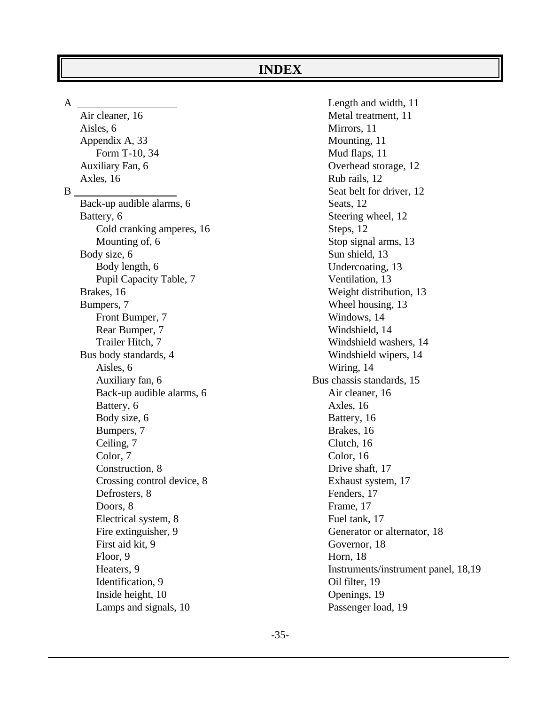#### **INDEX**

A

Air cleaner, 16 Aisles, 6 Appendix A, 33 Form T-10, 34 Auxiliary Fan, 6 Axles, 16 B Back-up audible alarms, 6 Battery, 6 Cold cranking amperes, 16 Mounting of, 6 Body size, 6 Body length, 6 Pupil Capacity Table, 7 Brakes, 16 Bumpers, 7 Front Bumper, 7 Rear Bumper, 7 Trailer Hitch, 7 Bus body standards, 4 Aisles, 6 Auxiliary fan, 6 Back-up audible alarms, 6 Battery, 6 Body size, 6 Bumpers, 7 Ceiling, 7 Color, 7 Construction, 8 Crossing control device, 8 Defrosters, 8 Doors, 8 Electrical system, 8 Fire extinguisher, 9 First aid kit, 9 Floor, 9 Heaters, 9 Identification, 9 Inside height, 10 Lamps and signals, 10

Length and width, 11 Metal treatment, 11 Mirrors, 11 Mounting, 11 Mud flaps, 11 Overhead storage, 12 Rub rails, 12 Seat belt for driver, 12 Seats, 12 Steering wheel, 12 Steps, 12 Stop signal arms, 13 Sun shield, 13 Undercoating, 13 Ventilation, 13 Weight distribution, 13 Wheel housing, 13 Windows, 14 Windshield, 14 Windshield washers, 14 Windshield wipers, 14 Wiring, 14 Bus chassis standards, 15 Air cleaner, 16 Axles, 16 Battery, 16 Brakes, 16 Clutch, 16 Color, 16 Drive shaft, 17 Exhaust system, 17 Fenders, 17 Frame, 17 Fuel tank, 17 Generator or alternator, 18 Governor, 18 Horn, 18 Instruments/instrument panel, 18,19 Oil filter, 19 Openings, 19 Passenger load, 19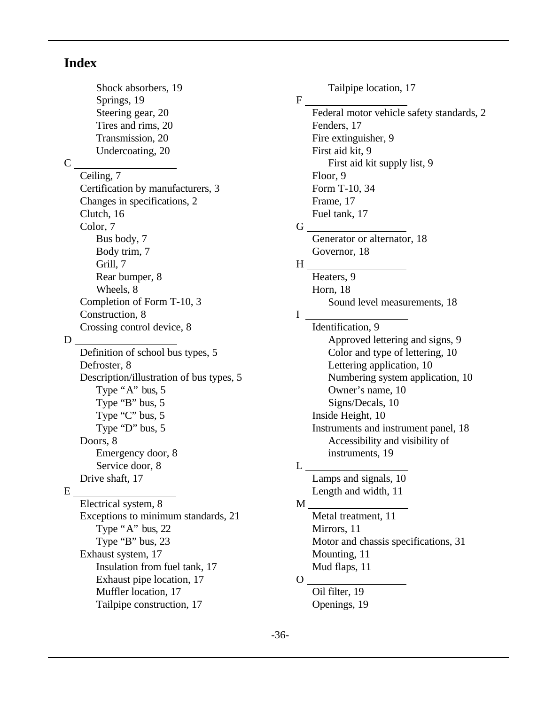#### **Index**

Shock absorbers, 19 Springs, 19 Steering gear, 20 Tires and rims, 20 Transmission, 20 Undercoating, 20 C Ceiling, 7 Certification by manufacturers, 3 Changes in specifications, 2 Clutch, 16 Color, 7 Bus body, 7 Body trim, 7 Grill, 7 Rear bumper, 8 Wheels, 8 Completion of Form T-10, 3 Construction, 8 Crossing control device, 8 D Definition of school bus types, 5 Defroster, 8 Description/illustration of bus types, 5 Type "A" bus, 5 Type "B" bus, 5 Type "C" bus, 5 Type "D" bus, 5 Doors, 8 Emergency door, 8 Service door, 8 Drive shaft, 17 E Electrical system, 8 Exceptions to minimum standards, 21 Type "A" bus,  $22$ Type "B" bus, 23 Exhaust system, 17 Insulation from fuel tank, 17 Exhaust pipe location, 17 Muffler location, 17

Tailpipe construction, 17

Tailpipe location, 17 F Federal motor vehicle safety standards, 2 Fenders, 17 Fire extinguisher, 9 First aid kit, 9 First aid kit supply list, 9 Floor, 9 Form T-10, 34 Frame, 17 Fuel tank, 17 G Generator or alternator, 18 Governor, 18 H Heaters, 9 Horn, 18 Sound level measurements, 18 I Identification, 9 Approved lettering and signs, 9 Color and type of lettering, 10 Lettering application, 10 Numbering system application, 10 Owner's name, 10 Signs/Decals, 10 Inside Height, 10 Instruments and instrument panel, 18 Accessibility and visibility of instruments, 19  $L_{\perp}$ Lamps and signals, 10 Length and width, 11 M Metal treatment, 11 Mirrors, 11 Motor and chassis specifications, 31 Mounting, 11 Mud flaps, 11  $O_{-}$ Oil filter, 19 Openings, 19